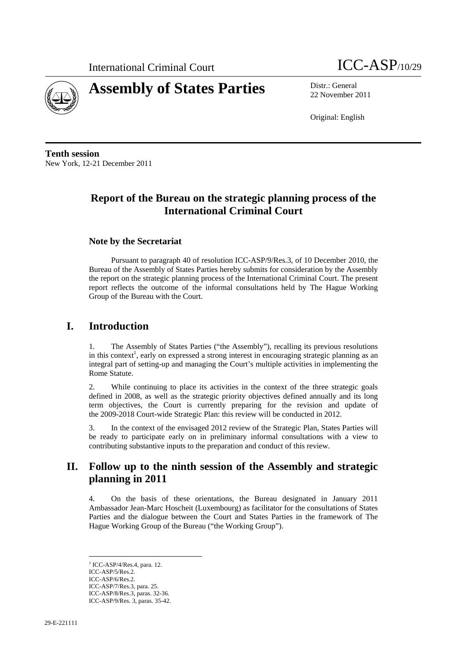



22 November 2011

Original: English

**Tenth session**  New York, 12-21 December 2011

# **Report of the Bureau on the strategic planning process of the International Criminal Court**

## **Note by the Secretariat**

Pursuant to paragraph 40 of resolution ICC-ASP/9/Res.3, of 10 December 2010, the Bureau of the Assembly of States Parties hereby submits for consideration by the Assembly the report on the strategic planning process of the International Criminal Court. The present report reflects the outcome of the informal consultations held by The Hague Working Group of the Bureau with the Court.

## **I. Introduction**

1. The Assembly of States Parties ("the Assembly"), recalling its previous resolutions in this context<sup>1</sup>, early on expressed a strong interest in encouraging strategic planning as an integral part of setting-up and managing the Court's multiple activities in implementing the Rome Statute.

While continuing to place its activities in the context of the three strategic goals defined in 2008, as well as the strategic priority objectives defined annually and its long term objectives, the Court is currently preparing for the revision and update of the 2009-2018 Court-wide Strategic Plan: this review will be conducted in 2012.

3. In the context of the envisaged 2012 review of the Strategic Plan, States Parties will be ready to participate early on in preliminary informal consultations with a view to contributing substantive inputs to the preparation and conduct of this review.

## **II. Follow up to the ninth session of the Assembly and strategic planning in 2011**

4. On the basis of these orientations, the Bureau designated in January 2011 Ambassador Jean-Marc Hoscheit (Luxembourg) as facilitator for the consultations of States Parties and the dialogue between the Court and States Parties in the framework of The Hague Working Group of the Bureau ("the Working Group").

 1 ICC-ASP/4/Res.4, para. 12. ICC-ASP/5/Res.2. ICC-ASP/6/Res.2. ICC-ASP/7/Res.3, para. 25. ICC-ASP/8/Res.3, paras. 32-36. ICC-ASP/9/Res. 3, paras. 35-42.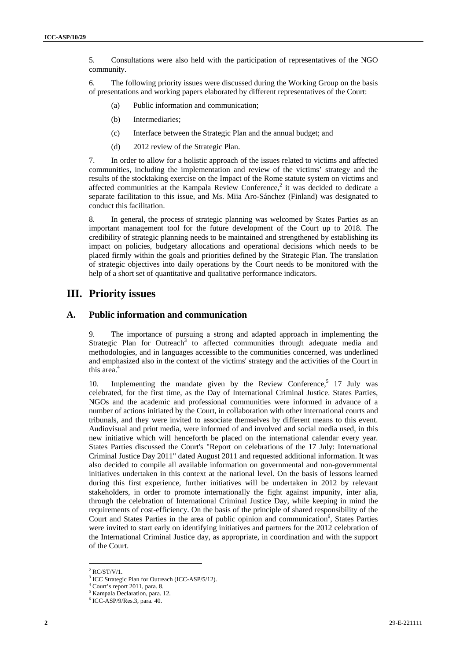5. Consultations were also held with the participation of representatives of the NGO community.

6. The following priority issues were discussed during the Working Group on the basis of presentations and working papers elaborated by different representatives of the Court:

- (a) Public information and communication;
- (b) Intermediaries;
- (c) Interface between the Strategic Plan and the annual budget; and
- (d) 2012 review of the Strategic Plan.

7. In order to allow for a holistic approach of the issues related to victims and affected communities, including the implementation and review of the victims' strategy and the results of the stocktaking exercise on the Impact of the Rome statute system on victims and affected communities at the Kampala Review Conference,<sup>2</sup> it was decided to dedicate a separate facilitation to this issue, and Ms. Miia Aro-Sánchez (Finland) was designated to conduct this facilitation.

8. In general, the process of strategic planning was welcomed by States Parties as an important management tool for the future development of the Court up to 2018. The credibility of strategic planning needs to be maintained and strengthened by establishing its impact on policies, budgetary allocations and operational decisions which needs to be placed firmly within the goals and priorities defined by the Strategic Plan. The translation of strategic objectives into daily operations by the Court needs to be monitored with the help of a short set of quantitative and qualitative performance indicators.

## **III. Priority issues**

### **A. Public information and communication**

9. The importance of pursuing a strong and adapted approach in implementing the Strategic Plan for Outreach<sup>3</sup> to affected communities through adequate media and methodologies, and in languages accessible to the communities concerned, was underlined and emphasized also in the context of the victims' strategy and the activities of the Court in this area.<sup>4</sup>

10. Implementing the mandate given by the Review Conference,<sup>5</sup> 17 July was celebrated, for the first time, as the Day of International Criminal Justice. States Parties, NGOs and the academic and professional communities were informed in advance of a number of actions initiated by the Court, in collaboration with other international courts and tribunals, and they were invited to associate themselves by different means to this event. Audiovisual and print media, were informed of and involved and social media used, in this new initiative which will henceforth be placed on the international calendar every year. States Parties discussed the Court's "Report on celebrations of the 17 July: International Criminal Justice Day 2011" dated August 2011 and requested additional information. It was also decided to compile all available information on governmental and non-governmental initiatives undertaken in this context at the national level. On the basis of lessons learned during this first experience, further initiatives will be undertaken in 2012 by relevant stakeholders, in order to promote internationally the fight against impunity, inter alia, through the celebration of International Criminal Justice Day, while keeping in mind the requirements of cost-efficiency. On the basis of the principle of shared responsibility of the Court and States Parties in the area of public opinion and communication<sup>6</sup>, States Parties were invited to start early on identifying initiatives and partners for the 2012 celebration of the International Criminal Justice day, as appropriate, in coordination and with the support of the Court.

 $2$  RC/ST/V/1.

<sup>&</sup>lt;sup>3</sup> ICC Strategic Plan for Outreach (ICC-ASP/5/12).

 $^{4}$  Court's report 2011, para. 8.

Kampala Declaration, para. 12.

<sup>6</sup> ICC-ASP/9/Res.3, para. 40.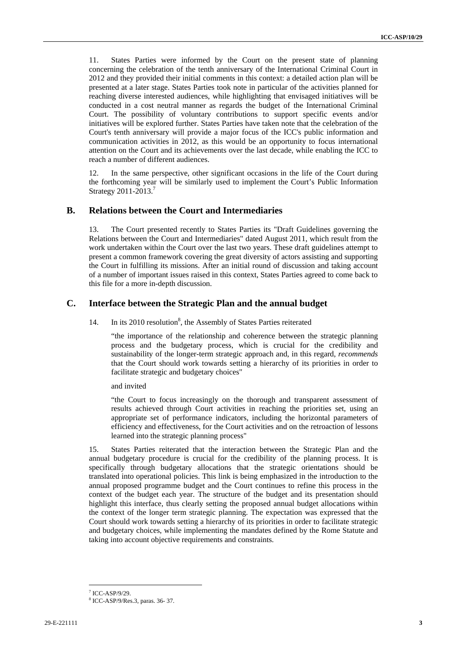11. States Parties were informed by the Court on the present state of planning concerning the celebration of the tenth anniversary of the International Criminal Court in 2012 and they provided their initial comments in this context: a detailed action plan will be presented at a later stage. States Parties took note in particular of the activities planned for reaching diverse interested audiences, while highlighting that envisaged initiatives will be conducted in a cost neutral manner as regards the budget of the International Criminal Court. The possibility of voluntary contributions to support specific events and/or initiatives will be explored further. States Parties have taken note that the celebration of the Court's tenth anniversary will provide a major focus of the ICC's public information and communication activities in 2012, as this would be an opportunity to focus international attention on the Court and its achievements over the last decade, while enabling the ICC to reach a number of different audiences.

12. In the same perspective, other significant occasions in the life of the Court during the forthcoming year will be similarly used to implement the Court's Public Information Strategy 2011-2013.<sup>7</sup>

#### **B. Relations between the Court and Intermediaries**

13. The Court presented recently to States Parties its "Draft Guidelines governing the Relations between the Court and Intermediaries" dated August 2011, which result from the work undertaken within the Court over the last two years. These draft guidelines attempt to present a common framework covering the great diversity of actors assisting and supporting the Court in fulfilling its missions. After an initial round of discussion and taking account of a number of important issues raised in this context, States Parties agreed to come back to this file for a more in-depth discussion.

#### **C. Interface between the Strategic Plan and the annual budget**

14. In its 2010 resolution<sup>8</sup>, the Assembly of States Parties reiterated

"the importance of the relationship and coherence between the strategic planning process and the budgetary process, which is crucial for the credibility and sustainability of the longer-term strategic approach and, in this regard, *recommends*  that the Court should work towards setting a hierarchy of its priorities in order to facilitate strategic and budgetary choices"

#### and invited

"the Court to focus increasingly on the thorough and transparent assessment of results achieved through Court activities in reaching the priorities set, using an appropriate set of performance indicators, including the horizontal parameters of efficiency and effectiveness, for the Court activities and on the retroaction of lessons learned into the strategic planning process"

15. States Parties reiterated that the interaction between the Strategic Plan and the annual budgetary procedure is crucial for the credibility of the planning process. It is specifically through budgetary allocations that the strategic orientations should be translated into operational policies. This link is being emphasized in the introduction to the annual proposed programme budget and the Court continues to refine this process in the context of the budget each year. The structure of the budget and its presentation should highlight this interface, thus clearly setting the proposed annual budget allocations within the context of the longer term strategic planning. The expectation was expressed that the Court should work towards setting a hierarchy of its priorities in order to facilitate strategic and budgetary choices, while implementing the mandates defined by the Rome Statute and taking into account objective requirements and constraints.

 $7$  ICC-ASP/9/29.

<sup>8</sup> ICC-ASP/9/Res.3, paras. 36- 37.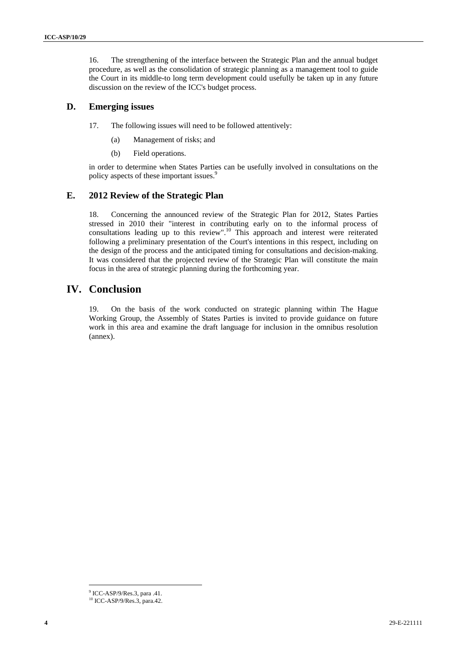16. The strengthening of the interface between the Strategic Plan and the annual budget procedure, as well as the consolidation of strategic planning as a management tool to guide the Court in its middle-to long term development could usefully be taken up in any future discussion on the review of the ICC's budget process.

### **D. Emerging issues**

17. The following issues will need to be followed attentively:

- (a) Management of risks; and
- (b) Field operations.

in order to determine when States Parties can be usefully involved in consultations on the policy aspects of these important issues.<sup>9</sup>

## **E. 2012 Review of the Strategic Plan**

18. Concerning the announced review of the Strategic Plan for 2012, States Parties stressed in 2010 their "interest in contributing early on to the informal process of consultations leading up to this review".<sup>10</sup> This approach and interest were reiterated following a preliminary presentation of the Court's intentions in this respect, including on the design of the process and the anticipated timing for consultations and decision-making. It was considered that the projected review of the Strategic Plan will constitute the main focus in the area of strategic planning during the forthcoming year.

## **IV. Conclusion**

19. On the basis of the work conducted on strategic planning within The Hague Working Group, the Assembly of States Parties is invited to provide guidance on future work in this area and examine the draft language for inclusion in the omnibus resolution (annex).

<sup>9</sup> ICC-ASP/9/Res.3, para .41.

<sup>10</sup> ICC-ASP/9/Res.3, para.42.